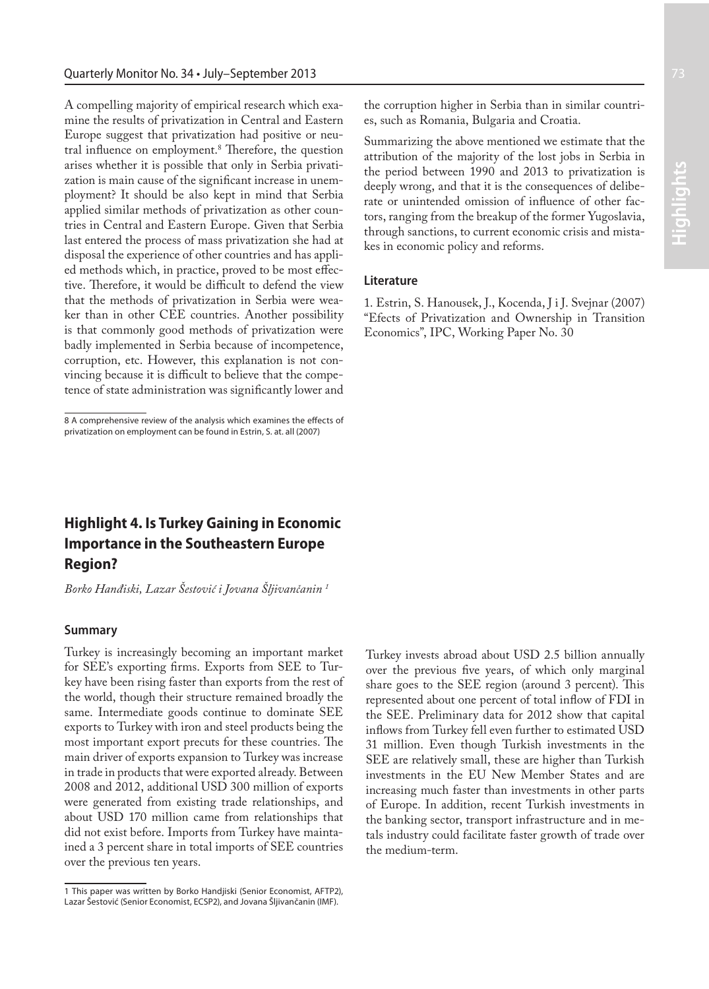A compelling majority of empirical research which examine the results of privatization in Central and Eastern Europe suggest that privatization had positive or neutral influence on employment.<sup>8</sup> Therefore, the question arises whether it is possible that only in Serbia privatization is main cause of the significant increase in unemployment? It should be also kept in mind that Serbia applied similar methods of privatization as other countries in Central and Eastern Europe. Given that Serbia last entered the process of mass privatization she had at disposal the experience of other countries and has applied methods which, in practice, proved to be most effective. Therefore, it would be difficult to defend the view that the methods of privatization in Serbia were weaker than in other CEE countries. Another possibility is that commonly good methods of privatization were badly implemented in Serbia because of incompetence, corruption, etc. However, this explanation is not convincing because it is difficult to believe that the competence of state administration was significantly lower and

# **Highlight 4. Is Turkey Gaining in Economic Importance in the Southeastern Europe Region?**

*Borko Hanđiski, Lazar Šestović i Jovana Šljivančanin 1*

#### **Summary**

Turkey is increasingly becoming an important market for SEE's exporting firms. Exports from SEE to Turkey have been rising faster than exports from the rest of the world, though their structure remained broadly the same. Intermediate goods continue to dominate SEE exports to Turkey with iron and steel products being the most important export precuts for these countries. The main driver of exports expansion to Turkey was increase in trade in products that were exported already. Between 2008 and 2012, additional USD 300 million of exports were generated from existing trade relationships, and about USD 170 million came from relationships that did not exist before. Imports from Turkey have maintained a 3 percent share in total imports of SEE countries over the previous ten years.

the corruption higher in Serbia than in similar countries, such as Romania, Bulgaria and Croatia.

Summarizing the above mentioned we estimate that the attribution of the majority of the lost jobs in Serbia in the period between 1990 and 2013 to privatization is deeply wrong, and that it is the consequences of deliberate or unintended omission of influence of other factors, ranging from the breakup of the former Yugoslavia, through sanctions, to current economic crisis and mistakes in economic policy and reforms.

#### **Literature**

1. Estrin, S. Hanousek, J., Kocenda, J i J. Svejnar (2007) "Efects of Privatization and Ownership in Transition Economics", IPC, Working Paper No. 30

Turkey invests abroad about USD 2.5 billion annually over the previous five years, of which only marginal share goes to the SEE region (around 3 percent). This represented about one percent of total inflow of FDI in the SEE. Preliminary data for 2012 show that capital inflows from Turkey fell even further to estimated USD 31 million. Even though Turkish investments in the SEE are relatively small, these are higher than Turkish investments in the EU New Member States and are increasing much faster than investments in other parts of Europe. In addition, recent Turkish investments in the banking sector, transport infrastructure and in metals industry could facilitate faster growth of trade over the medium-term.

<sup>8</sup> A comprehensive review of the analysis which examines the effects of privatization on employment can be found in Estrin, S. at. all (2007)

<sup>1</sup> This paper was written by Borko Handjiski (Senior Economist, AFTP2), Lazar Šestović (Senior Economist, ECSP2), and Jovana Šljivančanin (IMF).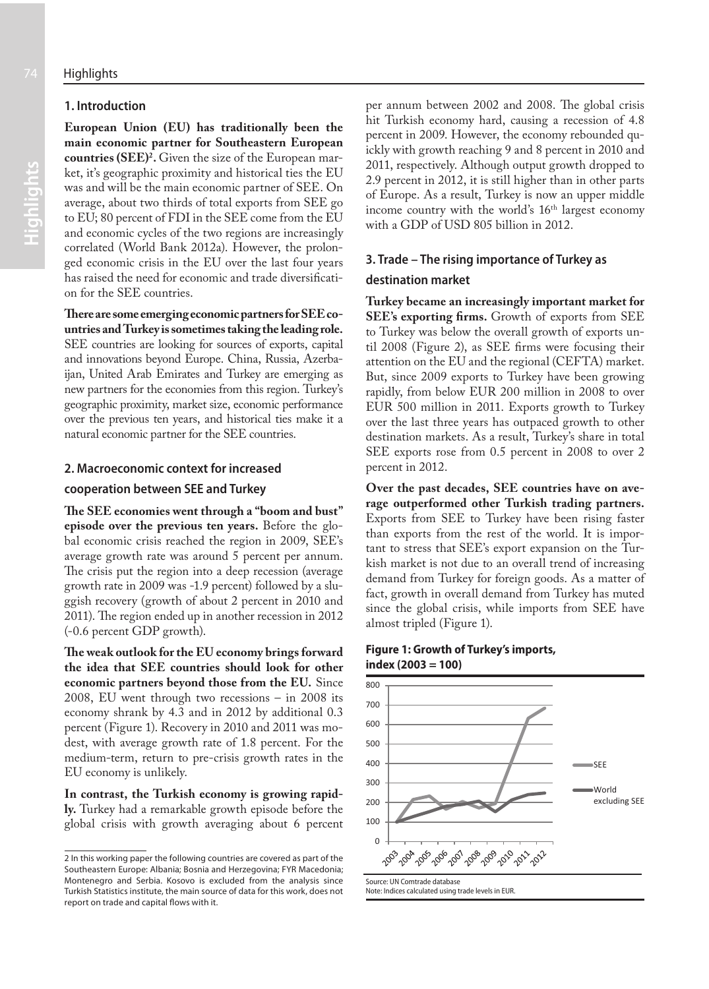# **1. Introduction**

**Highlights** 

**European Union (EU) has traditionally been the main economic partner for Southeastern European countries (SEE)2 .** Given the size of the European market, it's geographic proximity and historical ties the EU was and will be the main economic partner of SEE. On average, about two thirds of total exports from SEE go to EU; 80 percent of FDI in the SEE come from the EU and economic cycles of the two regions are increasingly correlated (World Bank 2012a). However, the prolonged economic crisis in the EU over the last four years has raised the need for economic and trade diversification for the SEE countries.

**There are some emerging economic partners for SEE countries and Turkey is sometimes taking the leading role.**  SEE countries are looking for sources of exports, capital and innovations beyond Europe. China, Russia, Azerbaijan, United Arab Emirates and Turkey are emerging as new partners for the economies from this region. Turkey's geographic proximity, market size, economic performance over the previous ten years, and historical ties make it a natural economic partner for the SEE countries.

#### **2. Macroeconomic context for increased**

#### **cooperation between SEE and Turkey**

**The SEE economies went through a "boom and bust" episode over the previous ten years.** Before the global economic crisis reached the region in 2009, SEE's average growth rate was around 5 percent per annum. The crisis put the region into a deep recession (average growth rate in 2009 was -1.9 percent) followed by a sluggish recovery (growth of about 2 percent in 2010 and 2011). The region ended up in another recession in 2012 (-0.6 percent GDP growth).

**The weak outlook for the EU economy brings forward the idea that SEE countries should look for other economic partners beyond those from the EU.** Since 2008, EU went through two recessions – in 2008 its economy shrank by 4.3 and in 2012 by additional 0.3 percent (Figure 1). Recovery in 2010 and 2011 was modest, with average growth rate of 1.8 percent. For the medium-term, return to pre-crisis growth rates in the EU economy is unlikely.

**In contrast, the Turkish economy is growing rapidly.** Turkey had a remarkable growth episode before the global crisis with growth averaging about 6 percent

2 In this working paper the following countries are covered as part of the Southeastern Europe: Albania; Bosnia and Herzegovina; FYR Macedonia; Montenegro and Serbia. Kosovo is excluded from the analysis since Turkish Statistics institute, the main source of data for this work, does not report on trade and capital flows with it.

per annum between 2002 and 2008. The global crisis hit Turkish economy hard, causing a recession of 4.8 percent in 2009. However, the economy rebounded quickly with growth reaching 9 and 8 percent in 2010 and 2011, respectively. Although output growth dropped to 2.9 percent in 2012, it is still higher than in other parts of Europe. As a result, Turkey is now an upper middle income country with the world's 16<sup>th</sup> largest economy with a GDP of USD 805 billion in 2012.

# **3. Trade – The rising importance of Turkey as**

#### **destination market**

**Turkey became an increasingly important market for SEE's exporting firms.** Growth of exports from SEE to Turkey was below the overall growth of exports until 2008 (Figure 2), as SEE firms were focusing their attention on the EU and the regional (CEFTA) market. But, since 2009 exports to Turkey have been growing rapidly, from below EUR 200 million in 2008 to over EUR 500 million in 2011. Exports growth to Turkey over the last three years has outpaced growth to other destination markets. As a result, Turkey's share in total SEE exports rose from 0.5 percent in 2008 to over 2 percent in 2012.

**Over the past decades, SEE countries have on average outperformed other Turkish trading partners.**  Exports from SEE to Turkey have been rising faster than exports from the rest of the world. It is important to stress that SEE's export expansion on the Turkish market is not due to an overall trend of increasing demand from Turkey for foreign goods. As a matter of fact, growth in overall demand from Turkey has muted since the global crisis, while imports from SEE have almost tripled (Figure 1).

#### **Figure 1: Growth of Turkey's imports, index (2003 = 100)**

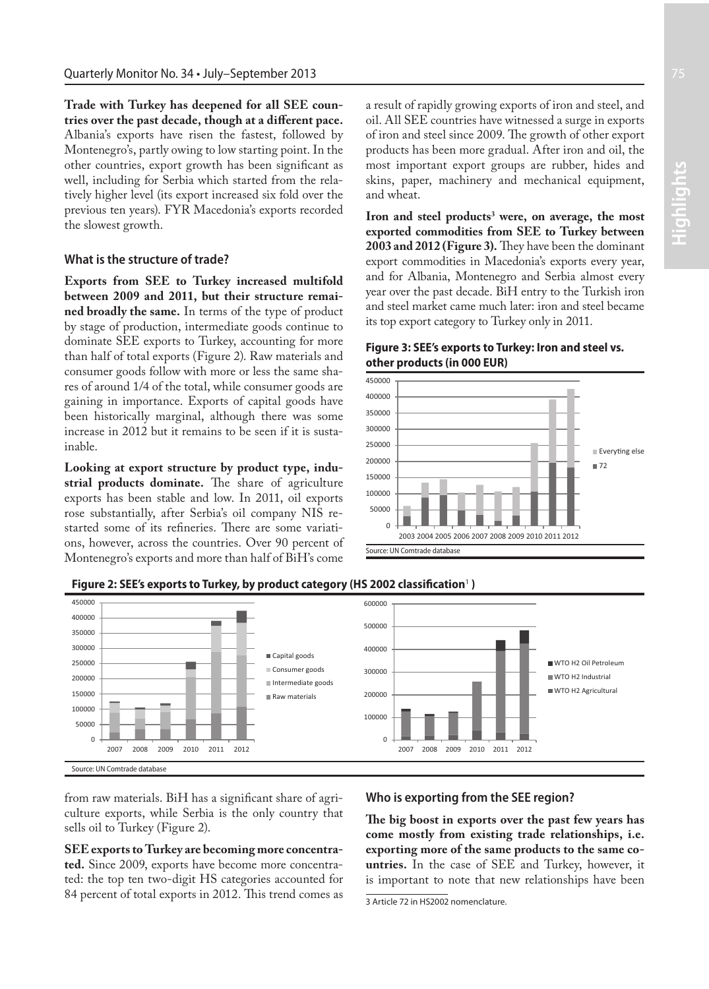**Trade with Turkey has deepened for all SEE countries over the past decade, though at a different pace.** Albania's exports have risen the fastest, followed by Montenegro's, partly owing to low starting point. In the other countries, export growth has been significant as well, including for Serbia which started from the relatively higher level (its export increased six fold over the previous ten years). FYR Macedonia's exports recorded the slowest growth.

#### **What is the structure of trade?**

**Exports from SEE to Turkey increased multifold between 2009 and 2011, but their structure remained broadly the same.** In terms of the type of product by stage of production, intermediate goods continue to dominate SEE exports to Turkey, accounting for more than half of total exports (Figure 2). Raw materials and consumer goods follow with more or less the same shares of around 1/4 of the total, while consumer goods are gaining in importance. Exports of capital goods have been historically marginal, although there was some increase in 2012 but it remains to be seen if it is sustainable.

**Looking at export structure by product type, industrial products dominate.** The share of agriculture exports has been stable and low. In 2011, oil exports rose substantially, after Serbia's oil company NIS restarted some of its refineries. There are some variations, however, across the countries. Over 90 percent of Montenegro's exports and more than half of BiH's come a result of rapidly growing exports of iron and steel, and oil. All SEE countries have witnessed a surge in exports of iron and steel since 2009. The growth of other export products has been more gradual. After iron and oil, the most important export groups are rubber, hides and skins, paper, machinery and mechanical equipment, and wheat.

Iron and steel products<sup>3</sup> were, on average, the most **exported commodities from SEE to Turkey between 2003 and 2012 (Figure 3).** They have been the dominant export commodities in Macedonia's exports every year, and for Albania, Montenegro and Serbia almost every year over the past decade. BiH entry to the Turkish iron and steel market came much later: iron and steel became its top export category to Turkey only in 2011.

# **Figure 3: SEE's exports to Turkey: Iron and steel vs. other products (in 000 EUR)**



**Figure 2: SEE's exports to Turkey, by product category (HS 2002 classification**<sup>1</sup>  **)**



from raw materials. BiH has a significant share of agriculture exports, while Serbia is the only country that sells oil to Turkey (Figure 2).

**SEE exports to Turkey are becoming more concentrated.** Since 2009, exports have become more concentrated: the top ten two-digit HS categories accounted for 84 percent of total exports in 2012. This trend comes as

#### **Who is exporting from the SEE region?**

**The big boost in exports over the past few years has come mostly from existing trade relationships, i.e. exporting more of the same products to the same countries.** In the case of SEE and Turkey, however, it is important to note that new relationships have been

<sup>3</sup> Article 72 in HS2002 nomenclature.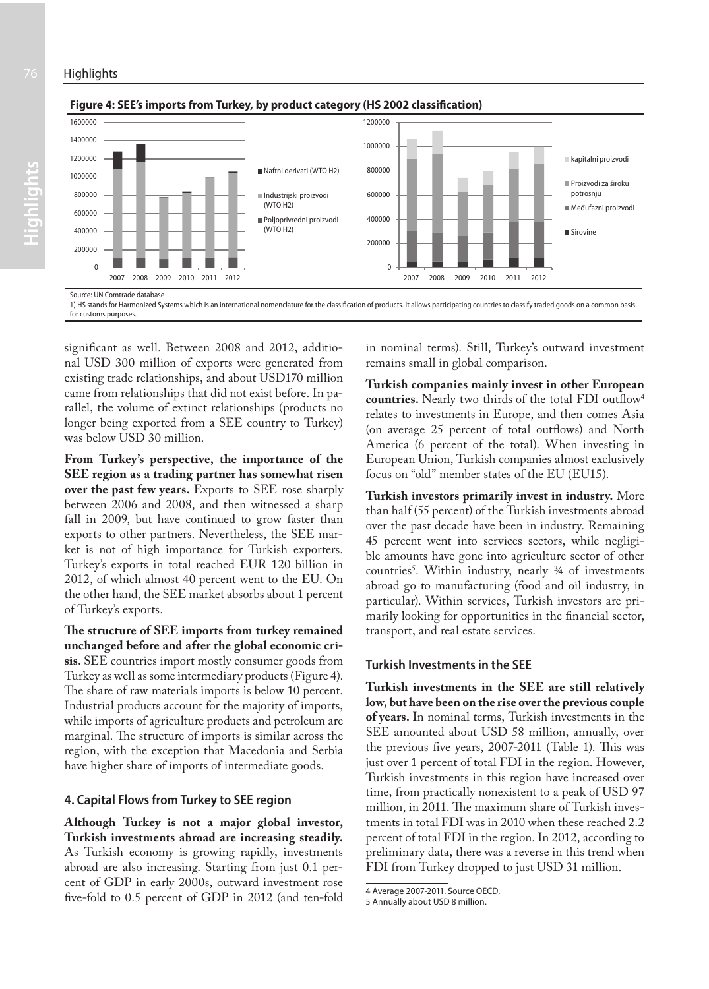

#### $\overline{0}$ 200000 400000 600000 800000 1000000 1200000 1400000 1600000 2007 2008 2009 2010 2011 2012 ■ Naftni derivati (WTO H2) Industrijski proizvodi (WTO H2) **Polioprivredni proizvod** (WTO H2)  $\overline{0}$ 200000 400000 600000 800000 1000000 1200000 2007 2008 2009 2010 2011 2012 kapitalni proizvodi Proizvodi za široku potrosnju Međufazni proizvodi Sirovine Source: UN Comtrade database

#### **Figure 4: SEE's imports from Turkey, by product category (HS 2002 classification)**

1) HS stands for Harmonized Systems which is an international nomenclature for the classification of products. It allows participating countries to classify traded goods on a common basis for customs purposes.

significant as well. Between 2008 and 2012, additional USD 300 million of exports were generated from existing trade relationships, and about USD170 million came from relationships that did not exist before. In parallel, the volume of extinct relationships (products no longer being exported from a SEE country to Turkey) was below USD 30 million.

**From Turkey's perspective, the importance of the SEE region as a trading partner has somewhat risen over the past few years.** Exports to SEE rose sharply between 2006 and 2008, and then witnessed a sharp fall in 2009, but have continued to grow faster than exports to other partners. Nevertheless, the SEE market is not of high importance for Turkish exporters. Turkey's exports in total reached EUR 120 billion in 2012, of which almost 40 percent went to the EU. On the other hand, the SEE market absorbs about 1 percent of Turkey's exports.

**The structure of SEE imports from turkey remained unchanged before and after the global economic crisis.** SEE countries import mostly consumer goods from Turkey as well as some intermediary products (Figure 4). The share of raw materials imports is below 10 percent. Industrial products account for the majority of imports, while imports of agriculture products and petroleum are marginal. The structure of imports is similar across the region, with the exception that Macedonia and Serbia have higher share of imports of intermediate goods.

# **4. Capital Flows from Turkey to SEE region**

**Although Turkey is not a major global investor, Turkish investments abroad are increasing steadily.**  As Turkish economy is growing rapidly, investments abroad are also increasing. Starting from just 0.1 percent of GDP in early 2000s, outward investment rose five-fold to 0.5 percent of GDP in 2012 (and ten-fold in nominal terms). Still, Turkey's outward investment remains small in global comparison.

**Turkish companies mainly invest in other European countries.** Nearly two thirds of the total FDI outflow4 relates to investments in Europe, and then comes Asia (on average 25 percent of total outflows) and North America (6 percent of the total). When investing in European Union, Turkish companies almost exclusively focus on "old" member states of the EU (EU15).

**Turkish investors primarily invest in industry.** More than half (55 percent) of the Turkish investments abroad over the past decade have been in industry. Remaining 45 percent went into services sectors, while negligible amounts have gone into agriculture sector of other countries<sup>3</sup>. Within industry, nearly <sup>3</sup>/4 of investments abroad go to manufacturing (food and oil industry, in particular). Within services, Turkish investors are primarily looking for opportunities in the financial sector, transport, and real estate services.

# **Turkish Investments in the SEE**

**Turkish investments in the SEE are still relatively low, but have been on the rise over the previous couple of years.** In nominal terms, Turkish investments in the SEE amounted about USD 58 million, annually, over the previous five years, 2007-2011 (Table 1). This was just over 1 percent of total FDI in the region. However, Turkish investments in this region have increased over time, from practically nonexistent to a peak of USD 97 million, in 2011. The maximum share of Turkish investments in total FDI was in 2010 when these reached 2.2 percent of total FDI in the region. In 2012, according to preliminary data, there was a reverse in this trend when FDI from Turkey dropped to just USD 31 million.

<sup>4</sup> Average 2007-2011. Source OECD.

<sup>5</sup> Annually about USD 8 million.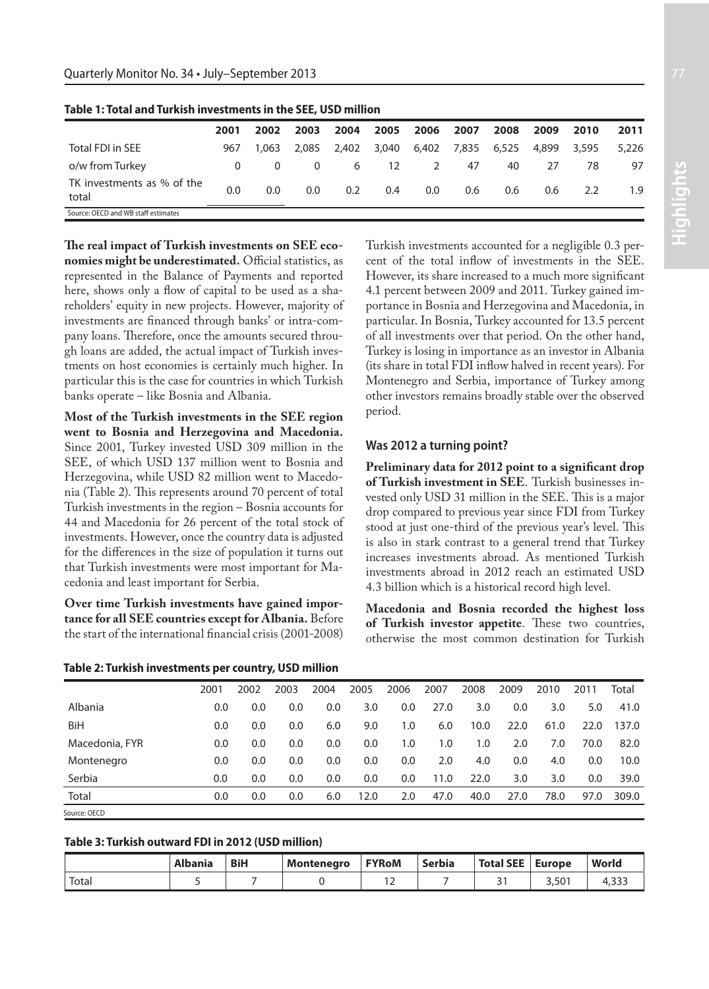|                                     | 2001     | 2002  | 2003  | 2004  | 2005  | 2006    | 2007 | 2008        | 2009  | 2010  | 2011  |
|-------------------------------------|----------|-------|-------|-------|-------|---------|------|-------------|-------|-------|-------|
| Total FDI in SEE                    | 967      | 1.063 | 2,085 | 2,402 | 3,040 | 6,402   |      | 7,835 6,525 | 4,899 | 3,595 | 5,226 |
| o/w from Turkey                     | $\Omega$ | 0     | 0     | 6     | 12    | 2       | 47   | 40          | 27    | 78    | 97    |
| TK investments as % of the<br>total | 0.0      | 0.0   | 0.0   | 0.2   | 0.4   | $0.0\,$ | 0.6  | 0.6         | 0.6   | 2.2   | 1.9   |
| Source: OECD and WB staff estimates |          |       |       |       |       |         |      |             |       |       |       |

**Table 1: Total and Turkish investments in the SEE, USD million**

**The real impact of Turkish investments on SEE economies might be underestimated.** Official statistics, as represented in the Balance of Payments and reported here, shows only a flow of capital to be used as a shareholders' equity in new projects. However, majority of investments are financed through banks' or intra-company loans. Therefore, once the amounts secured through loans are added, the actual impact of Turkish investments on host economies is certainly much higher. In particular this is the case for countries in which Turkish banks operate – like Bosnia and Albania.

**Most of the Turkish investments in the SEE region went to Bosnia and Herzegovina and Macedonia.** Since 2001, Turkey invested USD 309 million in the SEE, of which USD 137 million went to Bosnia and Herzegovina, while USD 82 million went to Macedonia (Table 2). This represents around 70 percent of total Turkish investments in the region – Bosnia accounts for 44 and Macedonia for 26 percent of the total stock of investments. However, once the country data is adjusted for the differences in the size of population it turns out that Turkish investments were most important for Macedonia and least important for Serbia.

**Over time Turkish investments have gained importance for all SEE countries except for Albania.** Before the start of the international financial crisis (2001-2008)

Turkish investments accounted for a negligible 0.3 percent of the total inflow of investments in the SEE. However, its share increased to a much more significant 4.1 percent between 2009 and 2011. Turkey gained importance in Bosnia and Herzegovina and Macedonia, in particular. In Bosnia, Turkey accounted for 13.5 percent of all investments over that period. On the other hand, Turkey is losing in importance as an investor in Albania (its share in total FDI inflow halved in recent years). For Montenegro and Serbia, importance of Turkey among other investors remains broadly stable over the observed period.

# **Was 2012 a turning point?**

**Preliminary data for 2012 point to a significant drop of Turkish investment in SEE**. Turkish businesses invested only USD 31 million in the SEE. This is a major drop compared to previous year since FDI from Turkey stood at just one-third of the previous year's level. This is also in stark contrast to a general trend that Turkey increases investments abroad. As mentioned Turkish investments abroad in 2012 reach an estimated USD 4.3 billion which is a historical record high level.

**Macedonia and Bosnia recorded the highest loss of Turkish investor appetite**. These two countries, otherwise the most common destination for Turkish

|                | 2001 | 2002 | 2003 | 2004 | 2005 | 2006 | 2007 | 2008 | 2009 | 2010 | 2011 | Total |
|----------------|------|------|------|------|------|------|------|------|------|------|------|-------|
| Albania        | 0.0  | 0.0  | 0.0  | 0.0  | 3.0  | 0.0  | 27.0 | 3.0  | 0.0  | 3.0  | 5.0  | 41.0  |
| BiH            | 0.0  | 0.0  | 0.0  | 6.0  | 9.0  | 1.0  | 6.0  | 10.0 | 22.0 | 61.0 | 22.0 | 137.0 |
| Macedonia, FYR | 0.0  | 0.0  | 0.0  | 0.0  | 0.0  | 1.0  | 1.0  | 1.0  | 2.0  | 7.0  | 70.0 | 82.0  |
| Montenegro     | 0.0  | 0.0  | 0.0  | 0.0  | 0.0  | 0.0  | 2.0  | 4.0  | 0.0  | 4.0  | 0.0  | 10.0  |
| Serbia         | 0.0  | 0.0  | 0.0  | 0.0  | 0.0  | 0.0  | 11.0 | 22.0 | 3.0  | 3.0  | 0.0  | 39.0  |
| Total          | 0.0  | 0.0  | 0.0  | 6.0  | 12.0 | 2.0  | 47.0 | 40.0 | 27.0 | 78.0 | 97.0 | 309.0 |
| Source: OECD   |      |      |      |      |      |      |      |      |      |      |      |       |

**Table 2: Turkish investments per country, USD million**

# **Table 3: Turkish outward FDI in 2012 (USD million)**

|                   | <b>Albania</b> | <b>BiH</b> | Montenegro | <b>FYRoM</b> | Serbia | <b>Total SEE</b> | <b>Europe</b>  | World |
|-------------------|----------------|------------|------------|--------------|--------|------------------|----------------|-------|
| Tota <sub>l</sub> |                |            |            | <u>_</u>     |        |                  | $3.50^{\circ}$ |       |